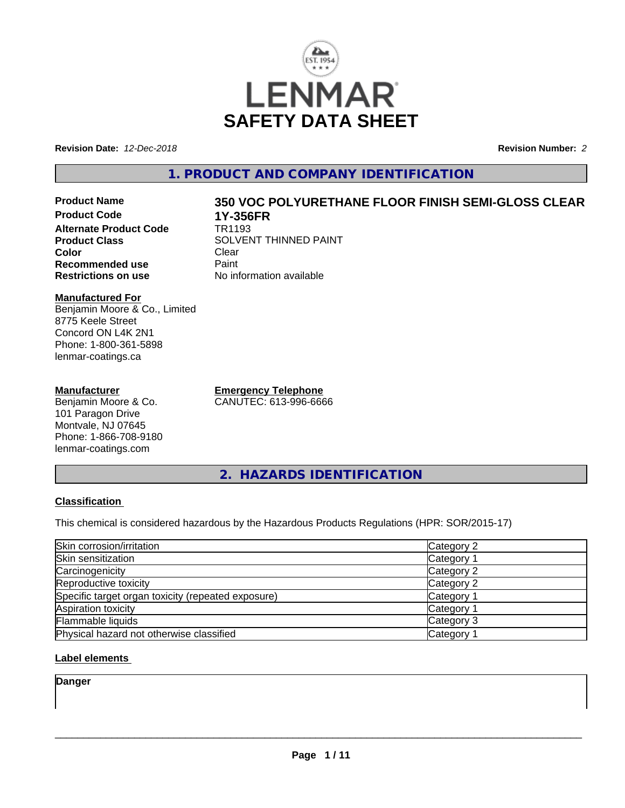

**Revision Date:** *12-Dec-2018* **Revision Number:** *2*

## **1. PRODUCT AND COMPANY IDENTIFICATION**

**Product Name 350 VOC POLYURETHANE FLOOR FINISH SEMI-GLOSS CLEAR Product Code 1Y-356FR Alternate Product Code Product Class** SOLVENT THINNED PAINT<br>
Color **Color** Clear Clear **Recommended use Faint Paint Paint Restrictions on use Fig. 2016** 

**Manufactured For** Benjamin Moore & Co., Limited 8775 Keele Street Concord ON L4K 2N1 Phone: 1-800-361-5898 lenmar-coatings.ca

#### **Manufacturer**

Benjamin Moore & Co. 101 Paragon Drive Montvale, NJ 07645 Phone: 1-866-708-9180 lenmar-coatings.com

**No information available** 

**Emergency Telephone** CANUTEC: 613-996-6666

**2. HAZARDS IDENTIFICATION**

## **Classification**

This chemical is considered hazardous by the Hazardous Products Regulations (HPR: SOR/2015-17)

| Skin corrosion/irritation                          | Category 2 |
|----------------------------------------------------|------------|
| Skin sensitization                                 | Category 1 |
| Carcinogenicity                                    | Category 2 |
| Reproductive toxicity                              | Category 2 |
| Specific target organ toxicity (repeated exposure) | Category 1 |
| Aspiration toxicity                                | Category 1 |
| Flammable liquids                                  | Category 3 |
| Physical hazard not otherwise classified           | Category 1 |

## **Label elements**

**Danger**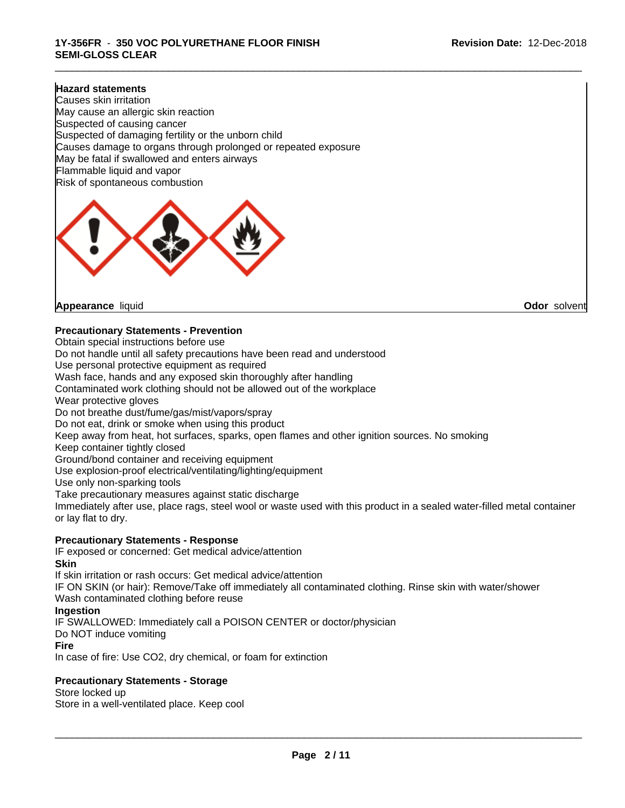\_\_\_\_\_\_\_\_\_\_\_\_\_\_\_\_\_\_\_\_\_\_\_\_\_\_\_\_\_\_\_\_\_\_\_\_\_\_\_\_\_\_\_\_\_\_\_\_\_\_\_\_\_\_\_\_\_\_\_\_\_\_\_\_\_\_\_\_\_\_\_\_\_\_\_\_\_\_\_\_\_\_\_\_\_\_\_\_\_\_\_\_\_

#### **Hazard statements**

Causes skin irritation May cause an allergic skin reaction Suspected of causing cancer Suspected of damaging fertility or the unborn child Causes damage to organs through prolonged or repeated exposure May be fatal if swallowed and enters airways Flammable liquid and vapor Risk of spontaneous combustion



**Appearance** liquid **Odor** solvent

#### **Precautionary Statements - Prevention**

Obtain special instructions before use Do not handle until all safety precautions have been read and understood Use personal protective equipment as required Wash face, hands and any exposed skin thoroughly after handling Contaminated work clothing should not be allowed out of the workplace Wear protective gloves Do not breathe dust/fume/gas/mist/vapors/spray Do not eat, drink or smoke when using this product Keep away from heat, hot surfaces, sparks, open flames and other ignition sources. No smoking Keep container tightly closed Ground/bond container and receiving equipment Use explosion-proof electrical/ventilating/lighting/equipment Use only non-sparking tools Take precautionary measures against static discharge Immediately after use, place rags, steel wool or waste used with this product in a sealed water-filled metal container or lay flat to dry. **Precautionary Statements - Response**

# IF exposed or concerned: Get medical advice/attention

**Skin** If skin irritation or rash occurs: Get medical advice/attention IF ON SKIN (or hair): Remove/Take off immediately all contaminated clothing. Rinse skin with water/shower Wash contaminated clothing before reuse **Ingestion** IF SWALLOWED: Immediately call a POISON CENTER or doctor/physician Do NOT induce vomiting **Fire**

In case of fire: Use CO2, dry chemical, or foam for extinction

#### **Precautionary Statements - Storage**

Store locked up Store in a well-ventilated place. Keep cool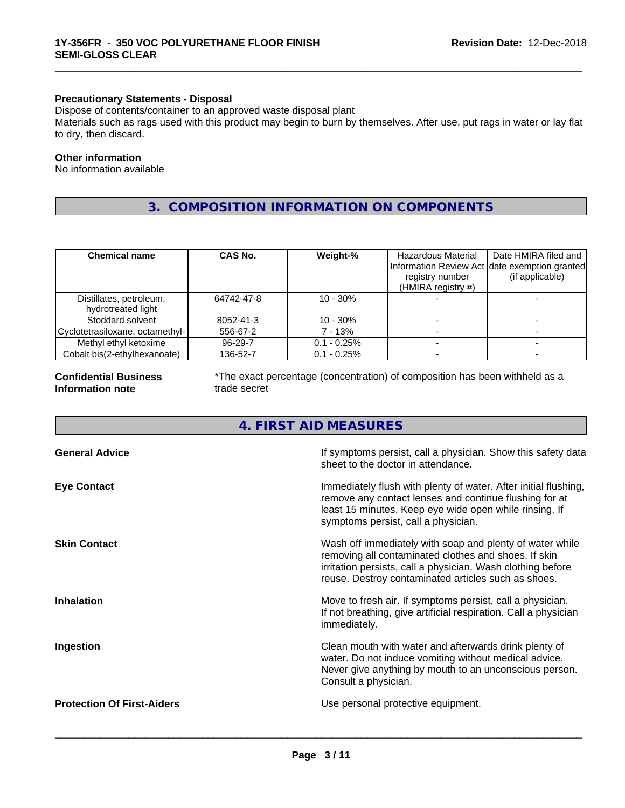### **Precautionary Statements - Disposal**

Dispose of contents/container to an approved waste disposal plant

Materials such as rags used with this product may begin to burn by themselves. After use, put rags in water or lay flat to dry, then discard.

\_\_\_\_\_\_\_\_\_\_\_\_\_\_\_\_\_\_\_\_\_\_\_\_\_\_\_\_\_\_\_\_\_\_\_\_\_\_\_\_\_\_\_\_\_\_\_\_\_\_\_\_\_\_\_\_\_\_\_\_\_\_\_\_\_\_\_\_\_\_\_\_\_\_\_\_\_\_\_\_\_\_\_\_\_\_\_\_\_\_\_\_\_

#### **Other information**

No information available

## **3. COMPOSITION INFORMATION ON COMPONENTS**

| <b>Chemical name</b>                          | CAS No.    | Weight-%      | Hazardous Material<br>Information Review Act date exemption granted<br>registry number<br>(HMIRA registry #) | Date HMIRA filed and<br>(if applicable) |
|-----------------------------------------------|------------|---------------|--------------------------------------------------------------------------------------------------------------|-----------------------------------------|
| Distillates, petroleum,<br>hydrotreated light | 64742-47-8 | $10 - 30\%$   |                                                                                                              |                                         |
| Stoddard solvent                              | 8052-41-3  | $10 - 30\%$   |                                                                                                              |                                         |
| Cyclotetrasiloxane, octamethyl-               | 556-67-2   | 7 - 13%       |                                                                                                              |                                         |
| Methyl ethyl ketoxime                         | 96-29-7    | $0.1 - 0.25%$ |                                                                                                              |                                         |
| Cobalt bis(2-ethylhexanoate)                  | 136-52-7   | $0.1 - 0.25%$ |                                                                                                              |                                         |

#### **Confidential Business Information note**

\*The exact percentage (concentration) of composition has been withheld as a trade secret

## **4. FIRST AID MEASURES**

| <b>General Advice</b>             | If symptoms persist, call a physician. Show this safety data<br>sheet to the doctor in attendance.                                                                                                                                     |
|-----------------------------------|----------------------------------------------------------------------------------------------------------------------------------------------------------------------------------------------------------------------------------------|
| <b>Eye Contact</b>                | Immediately flush with plenty of water. After initial flushing,<br>remove any contact lenses and continue flushing for at<br>least 15 minutes. Keep eye wide open while rinsing. If<br>symptoms persist, call a physician.             |
| <b>Skin Contact</b>               | Wash off immediately with soap and plenty of water while<br>removing all contaminated clothes and shoes. If skin<br>irritation persists, call a physician. Wash clothing before<br>reuse. Destroy contaminated articles such as shoes. |
| <b>Inhalation</b>                 | Move to fresh air. If symptoms persist, call a physician.<br>If not breathing, give artificial respiration. Call a physician<br>immediately.                                                                                           |
| Ingestion                         | Clean mouth with water and afterwards drink plenty of<br>water. Do not induce vomiting without medical advice.<br>Never give anything by mouth to an unconscious person.<br>Consult a physician.                                       |
| <b>Protection Of First-Aiders</b> | Use personal protective equipment.                                                                                                                                                                                                     |
|                                   |                                                                                                                                                                                                                                        |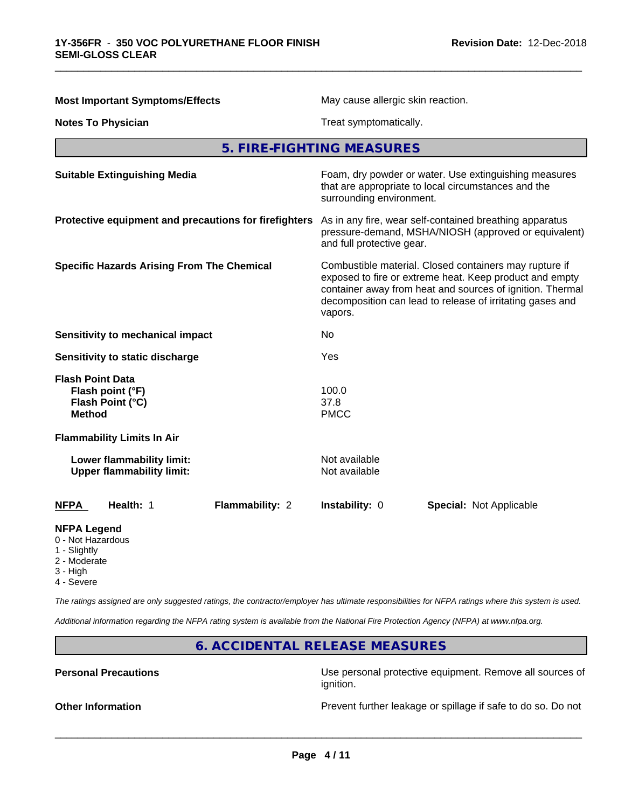| <b>Most Important Symptoms/Effects</b>                                           | May cause allergic skin reaction.<br>Treat symptomatically.                                                                                                                                                                                            |  |  |
|----------------------------------------------------------------------------------|--------------------------------------------------------------------------------------------------------------------------------------------------------------------------------------------------------------------------------------------------------|--|--|
| <b>Notes To Physician</b>                                                        |                                                                                                                                                                                                                                                        |  |  |
|                                                                                  | 5. FIRE-FIGHTING MEASURES                                                                                                                                                                                                                              |  |  |
| <b>Suitable Extinguishing Media</b>                                              | Foam, dry powder or water. Use extinguishing measures<br>that are appropriate to local circumstances and the<br>surrounding environment.                                                                                                               |  |  |
| Protective equipment and precautions for firefighters                            | As in any fire, wear self-contained breathing apparatus<br>pressure-demand, MSHA/NIOSH (approved or equivalent)<br>and full protective gear.                                                                                                           |  |  |
| <b>Specific Hazards Arising From The Chemical</b>                                | Combustible material. Closed containers may rupture if<br>exposed to fire or extreme heat. Keep product and empty<br>container away from heat and sources of ignition. Thermal<br>decomposition can lead to release of irritating gases and<br>vapors. |  |  |
| <b>Sensitivity to mechanical impact</b>                                          | No.                                                                                                                                                                                                                                                    |  |  |
| Sensitivity to static discharge                                                  | Yes                                                                                                                                                                                                                                                    |  |  |
| <b>Flash Point Data</b><br>Flash point (°F)<br>Flash Point (°C)<br><b>Method</b> | 100.0<br>37.8<br><b>PMCC</b>                                                                                                                                                                                                                           |  |  |
| <b>Flammability Limits In Air</b>                                                |                                                                                                                                                                                                                                                        |  |  |
| Lower flammability limit:<br><b>Upper flammability limit:</b>                    | Not available<br>Not available                                                                                                                                                                                                                         |  |  |
| <b>NFPA</b><br>Health: 1<br>Flammability: 2                                      | Instability: 0<br>Special: Not Applicable                                                                                                                                                                                                              |  |  |
| <b>NFPA Legend</b><br>0 - Not Hazardous<br>1 - Slightly<br>2 - Moderate          |                                                                                                                                                                                                                                                        |  |  |

\_\_\_\_\_\_\_\_\_\_\_\_\_\_\_\_\_\_\_\_\_\_\_\_\_\_\_\_\_\_\_\_\_\_\_\_\_\_\_\_\_\_\_\_\_\_\_\_\_\_\_\_\_\_\_\_\_\_\_\_\_\_\_\_\_\_\_\_\_\_\_\_\_\_\_\_\_\_\_\_\_\_\_\_\_\_\_\_\_\_\_\_\_

- Mode
- 3 High
- 4 Severe

*The ratings assigned are only suggested ratings, the contractor/employer has ultimate responsibilities for NFPA ratings where this system is used.*

*Additional information regarding the NFPA rating system is available from the National Fire Protection Agency (NFPA) at www.nfpa.org.*

## **6. ACCIDENTAL RELEASE MEASURES**

**Personal Precautions Precautions** Use personal protective equipment. Remove all sources of ignition.

**Other Information Discription** Prevent further leakage or spillage if safe to do so. Do not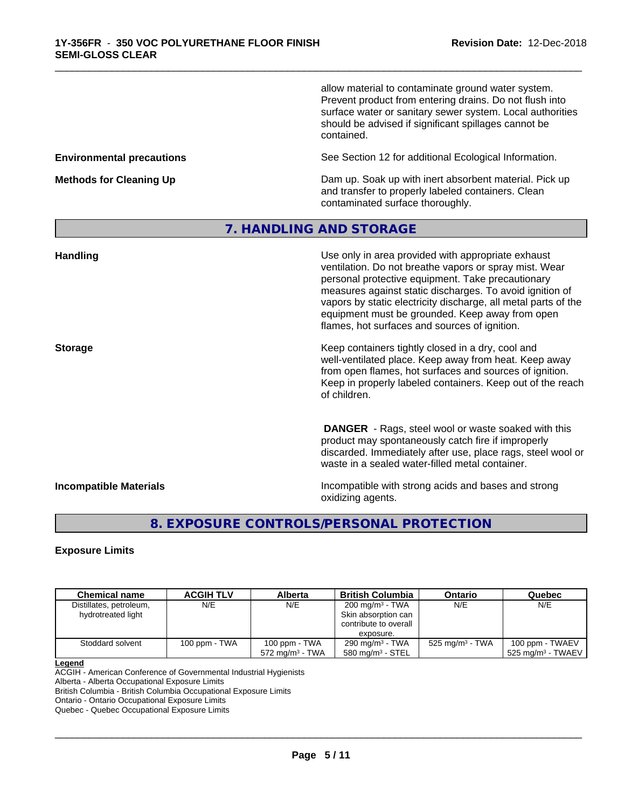allow material to contaminate ground water system. Prevent product from entering drains. Do not flush into surface water or sanitary sewer system. Local authorities should be advised if significant spillages cannot be contained.

**Environmental precautions** See Section 12 for additional Ecological Information.

**Methods for Cleaning Up** Dam up. Soak up with inert absorbent material. Pick up and transfer to properly labeled containers. Clean contaminated surface thoroughly.

## **7. HANDLING AND STORAGE**

\_\_\_\_\_\_\_\_\_\_\_\_\_\_\_\_\_\_\_\_\_\_\_\_\_\_\_\_\_\_\_\_\_\_\_\_\_\_\_\_\_\_\_\_\_\_\_\_\_\_\_\_\_\_\_\_\_\_\_\_\_\_\_\_\_\_\_\_\_\_\_\_\_\_\_\_\_\_\_\_\_\_\_\_\_\_\_\_\_\_\_\_\_

| <b>Handling</b>               | Use only in area provided with appropriate exhaust<br>ventilation. Do not breathe vapors or spray mist. Wear<br>personal protective equipment. Take precautionary<br>measures against static discharges. To avoid ignition of<br>vapors by static electricity discharge, all metal parts of the<br>equipment must be grounded. Keep away from open<br>flames, hot surfaces and sources of ignition. |
|-------------------------------|-----------------------------------------------------------------------------------------------------------------------------------------------------------------------------------------------------------------------------------------------------------------------------------------------------------------------------------------------------------------------------------------------------|
| <b>Storage</b>                | Keep containers tightly closed in a dry, cool and<br>well-ventilated place. Keep away from heat. Keep away<br>from open flames, hot surfaces and sources of ignition.<br>Keep in properly labeled containers. Keep out of the reach<br>of children.                                                                                                                                                 |
|                               | <b>DANGER</b> - Rags, steel wool or waste soaked with this<br>product may spontaneously catch fire if improperly<br>discarded. Immediately after use, place rags, steel wool or<br>waste in a sealed water-filled metal container.                                                                                                                                                                  |
| <b>Incompatible Materials</b> | Incompatible with strong acids and bases and strong<br>oxidizing agents.                                                                                                                                                                                                                                                                                                                            |

## **8. EXPOSURE CONTROLS/PERSONAL PROTECTION**

## **Exposure Limits**

| <b>Chemical name</b>                          | <b>ACGIH TLV</b> | Alberta                                     | <b>British Columbia</b>                                                                  | <b>Ontario</b>              | Quebec                                             |
|-----------------------------------------------|------------------|---------------------------------------------|------------------------------------------------------------------------------------------|-----------------------------|----------------------------------------------------|
| Distillates, petroleum,<br>hydrotreated light | N/E              | N/E                                         | 200 mg/m <sup>3</sup> - TWA<br>Skin absorption can<br>contribute to overall<br>exposure. | N/E                         | N/E                                                |
| Stoddard solvent                              | 100 ppm - TWA    | 100 ppm - TWA<br>$572 \text{ ma/m}^3$ - TWA | 290 mg/m <sup>3</sup> - TWA<br>580 mg/m $3$ - STEL                                       | 525 mg/m <sup>3</sup> - TWA | 100 ppm - TWAEV<br>$\,$ 525 ma/m $^3$ - TWAEV $\,$ |

#### **Legend**

ACGIH - American Conference of Governmental Industrial Hygienists

Alberta - Alberta Occupational Exposure Limits

British Columbia - British Columbia Occupational Exposure Limits

Ontario - Ontario Occupational Exposure Limits

Quebec - Quebec Occupational Exposure Limits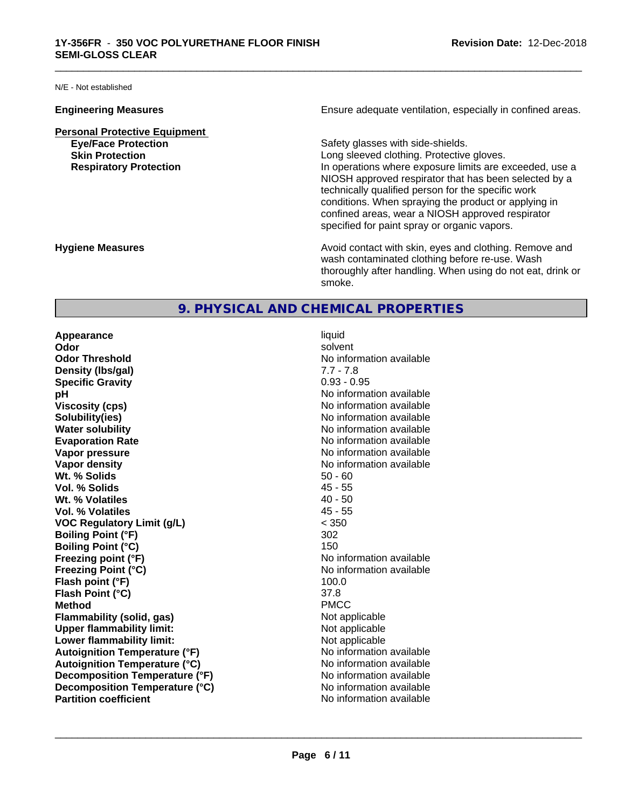N/E - Not established

**Personal Protective Equipment Eye/Face Protection Safety glasses with side-shields.** 

**Engineering Measures Ensure** Ensure adequate ventilation, especially in confined areas.

\_\_\_\_\_\_\_\_\_\_\_\_\_\_\_\_\_\_\_\_\_\_\_\_\_\_\_\_\_\_\_\_\_\_\_\_\_\_\_\_\_\_\_\_\_\_\_\_\_\_\_\_\_\_\_\_\_\_\_\_\_\_\_\_\_\_\_\_\_\_\_\_\_\_\_\_\_\_\_\_\_\_\_\_\_\_\_\_\_\_\_\_\_

**Skin Protection Skin Protection Skin Protective gloves.** Long sleeved clothing. Protective gloves. **Respiratory Protection In operations where exposure limits are exceeded, use a** NIOSH approved respirator that has been selected by a technically qualified person for the specific work conditions. When spraying the product or applying in confined areas, wear a NIOSH approved respirator specified for paint spray or organic vapors.

**Hygiene Measures Avoid contact with skin, eyes and clothing. Remove and Avoid contact with skin, eyes and clothing. Remove and Avoid contact with skin, eyes and clothing. Remove and** wash contaminated clothing before re-use. Wash thoroughly after handling. When using do not eat, drink or smoke.

## **9. PHYSICAL AND CHEMICAL PROPERTIES**

**Appearance** liquid **Odor** solvent **Odor Threshold**<br> **Density (Ibs/gal)**<br> **Density (Ibs/gal)**<br> **No information available**<br> **No information available**<br> **No information available Density (Ibs/gal)** 7.7 - 7.8<br> **Specific Gravity** 3.1 2.2 2.2 2.2 2.2 2.95 **Specific Gravity pH** No information available **Viscosity (cps)** No information available **Solubility(ies)** No information available in the solution of the solution of the solution available in the solution of the solution of the solution of the solution of the solution of the solution of the solution of the so **Water solubility** No information available **Evaporation Rate No information available No information available Vapor pressure** No information available **No information available Vapor density Vapor density No information available Wt. % Solids** 50 - 60 **Vol. % Solids** 45 - 55 **Wt. % Volatiles** 40 - 50 **Vol. % Volatiles VOC Regulatory Limit (g/L)** < 350 **Boiling Point (°F)** 302 **Boiling Point (°C)** 150 **Freezing point (°F)** No information available **Freezing Point (°C)** No information available **Flash point (°F)** 100.0 **Flash Point (°C)** 37.8 **Method** PMCC **Flammability (solid, gas)**<br> **Commability limit:**<br>
Upper flammability limit:<br>
Not applicable **Upper flammability limit:**<br> **Lower flammability limit:**<br>
Not applicable<br>
Not applicable **Lower flammability limit:**<br> **Autoignition Temperature (°F)** Not applicable available and the Muslim Muslim Comments and Muslim Automation and the Muslim Comments and Muslim Comments and Muslim Comments and Muslim Comments **Autoignition Temperature (°F) Autoignition Temperature (°C)** No information available **Decomposition Temperature (°F)** No information available **Decomposition Temperature (°C)** No information available<br> **Partition coefficient Partition available** 

**No information available**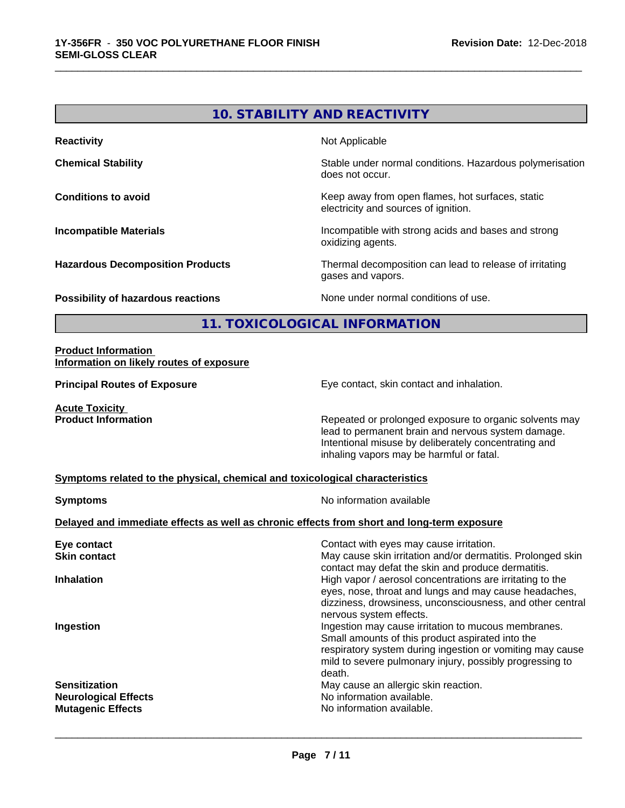# **10. STABILITY AND REACTIVITY Reactivity** Not Applicable **Chemical Stability Chemical Stability** Stable under normal conditions. Hazardous polymerisation does not occur. **Conditions to avoid Conditions to avoid Conditions keep** away from open flames, hot surfaces, static electricity and sources of ignition. **Incompatible Materials Incompatible with strong acids and bases and strong** oxidizing agents. **Hazardous Decomposition Products** Thermal decomposition can lead to release of irritating gases and vapors. **Possibility of hazardous reactions** None under normal conditions of use.

\_\_\_\_\_\_\_\_\_\_\_\_\_\_\_\_\_\_\_\_\_\_\_\_\_\_\_\_\_\_\_\_\_\_\_\_\_\_\_\_\_\_\_\_\_\_\_\_\_\_\_\_\_\_\_\_\_\_\_\_\_\_\_\_\_\_\_\_\_\_\_\_\_\_\_\_\_\_\_\_\_\_\_\_\_\_\_\_\_\_\_\_\_

## **11. TOXICOLOGICAL INFORMATION**

#### **Product Information Information on likely routes of exposure**

**Principal Routes of Exposure Exposure** Eye contact, skin contact and inhalation.

**Acute Toxicity**<br>**Product Information** 

Repeated or prolonged exposure to organic solvents may lead to permanent brain and nervous system damage. Intentional misuse by deliberately concentrating and inhaling vapors may be harmful or fatal.

#### **Symptoms related to the physical,chemical and toxicological characteristics**

| <b>Symptoms</b>                                                                            | No information available                                                                                                                                                                                                                   |
|--------------------------------------------------------------------------------------------|--------------------------------------------------------------------------------------------------------------------------------------------------------------------------------------------------------------------------------------------|
| Delayed and immediate effects as well as chronic effects from short and long-term exposure |                                                                                                                                                                                                                                            |
| Eye contact<br><b>Skin contact</b>                                                         | Contact with eyes may cause irritation.<br>May cause skin irritation and/or dermatitis. Prolonged skin                                                                                                                                     |
| <b>Inhalation</b>                                                                          | contact may defat the skin and produce dermatitis.<br>High vapor / aerosol concentrations are irritating to the                                                                                                                            |
|                                                                                            | eyes, nose, throat and lungs and may cause headaches,<br>dizziness, drowsiness, unconsciousness, and other central<br>nervous system effects.                                                                                              |
| Ingestion                                                                                  | Ingestion may cause irritation to mucous membranes.<br>Small amounts of this product aspirated into the<br>respiratory system during ingestion or vomiting may cause<br>mild to severe pulmonary injury, possibly progressing to<br>death. |
| <b>Sensitization</b><br><b>Neurological Effects</b><br><b>Mutagenic Effects</b>            | May cause an allergic skin reaction.<br>No information available.<br>No information available.                                                                                                                                             |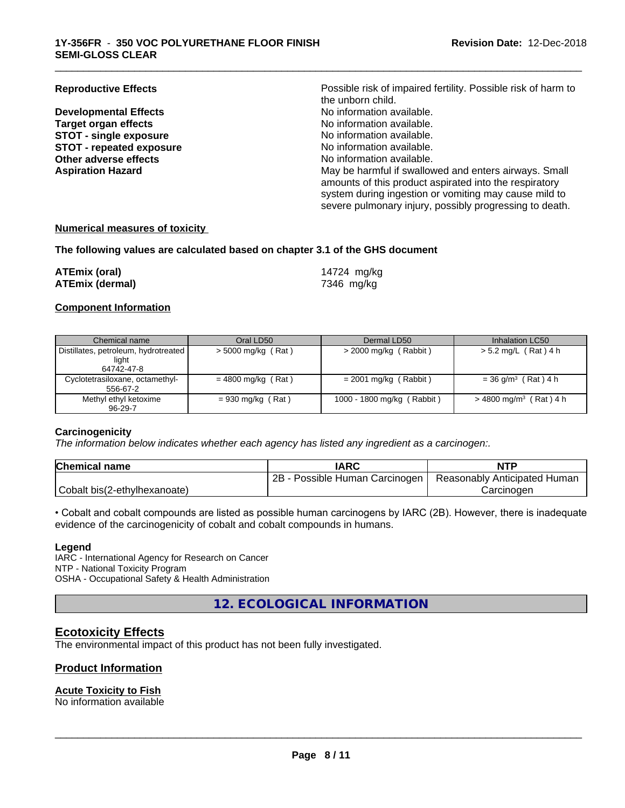**Developmental Effects Target organ effects No information available.**<br> **STOT - single exposure No information available. STOT** - single exposure<br> **STOT** - repeated exposure<br> **STOT** - repeated exposure<br> **STOT** - repeated exposure **STOT** - repeated exposure **Other adverse effects** No information available.

**Reproductive Effects Possible risk of impaired fertility. Possible risk of harm to** the unborn child.<br>No information available. **Aspiration Hazard** May be harmful if swallowed and enters airways. Small amounts of this product aspirated into the respiratory system during ingestion or vomiting may cause mild to severe pulmonary injury, possibly progressing to death.

\_\_\_\_\_\_\_\_\_\_\_\_\_\_\_\_\_\_\_\_\_\_\_\_\_\_\_\_\_\_\_\_\_\_\_\_\_\_\_\_\_\_\_\_\_\_\_\_\_\_\_\_\_\_\_\_\_\_\_\_\_\_\_\_\_\_\_\_\_\_\_\_\_\_\_\_\_\_\_\_\_\_\_\_\_\_\_\_\_\_\_\_\_

#### **Numerical measures of toxicity**

#### **The following values are calculated based on chapter 3.1 of the GHS document**

| ATEmix (oral)          | 14724 mg/kg |
|------------------------|-------------|
| <b>ATEmix (dermal)</b> | 7346 mg/kg  |

#### **Component Information**

| Chemical name                                                 | Oral LD50            | Dermal LD50                | Inhalation LC50                      |
|---------------------------------------------------------------|----------------------|----------------------------|--------------------------------------|
| Distillates, petroleum, hydrotreated  <br>light<br>64742-47-8 | $>$ 5000 mg/kg (Rat) | $>$ 2000 mg/kg (Rabbit)    | > 5.2 mg/L (Rat) 4 h                 |
| Cyclotetrasiloxane, octamethyl-<br>556-67-2                   | $= 4800$ mg/kg (Rat) | $= 2001$ mg/kg (Rabbit)    | $= 36$ g/m <sup>3</sup> (Rat) 4 h    |
| Methyl ethyl ketoxime<br>$96 - 29 - 7$                        | $= 930$ mg/kg (Rat)  | 1000 - 1800 mg/kg (Rabbit) | $>$ 4800 mg/m <sup>3</sup> (Rat) 4 h |

#### **Carcinogenicity**

*The information below indicateswhether each agency has listed any ingredient as a carcinogen:.*

| <b>Chemical name</b>         | <b>IARC</b>                     | <b>NTP</b>                   |
|------------------------------|---------------------------------|------------------------------|
|                              | 2B<br>Possible Human Carcinogen | Reasonably Anticipated Human |
| Cobalt bis(2-ethylhexanoate) |                                 | Carcinogen                   |

• Cobalt and cobalt compounds are listed as possible human carcinogens by IARC (2B). However, there is inadequate evidence of the carcinogenicity of cobalt and cobalt compounds in humans.

#### **Legend**

IARC - International Agency for Research on Cancer NTP - National Toxicity Program OSHA - Occupational Safety & Health Administration

**12. ECOLOGICAL INFORMATION**

## **Ecotoxicity Effects**

The environmental impact of this product has not been fully investigated.

## **Product Information**

#### **Acute Toxicity to Fish**

No information available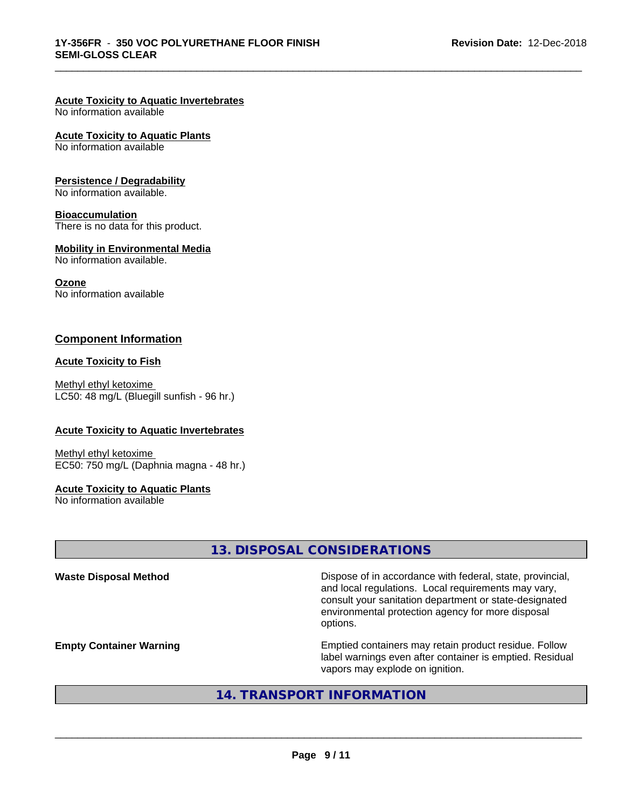## **Acute Toxicity to Aquatic Invertebrates**

No information available

#### **Acute Toxicity to Aquatic Plants**

No information available

#### **Persistence / Degradability**

No information available.

### **Bioaccumulation**

There is no data for this product.

#### **Mobility in Environmental Media**

No information available.

#### **Ozone**

No information available

## **Component Information**

#### **Acute Toxicity to Fish**

Methyl ethyl ketoxime LC50: 48 mg/L (Bluegill sunfish - 96 hr.)

#### **Acute Toxicity to Aquatic Invertebrates**

Methyl ethyl ketoxime EC50: 750 mg/L (Daphnia magna - 48 hr.)

#### **Acute Toxicity to Aquatic Plants**

No information available

## **13. DISPOSAL CONSIDERATIONS**

\_\_\_\_\_\_\_\_\_\_\_\_\_\_\_\_\_\_\_\_\_\_\_\_\_\_\_\_\_\_\_\_\_\_\_\_\_\_\_\_\_\_\_\_\_\_\_\_\_\_\_\_\_\_\_\_\_\_\_\_\_\_\_\_\_\_\_\_\_\_\_\_\_\_\_\_\_\_\_\_\_\_\_\_\_\_\_\_\_\_\_\_\_

| <b>Waste Disposal Method</b>   | Dispose of in accordance with federal, state, provincial,<br>and local regulations. Local requirements may vary,<br>consult your sanitation department or state-designated<br>environmental protection agency for more disposal<br>options. |
|--------------------------------|---------------------------------------------------------------------------------------------------------------------------------------------------------------------------------------------------------------------------------------------|
| <b>Empty Container Warning</b> | Emptied containers may retain product residue. Follow<br>label warnings even after container is emptied. Residual<br>vapors may explode on ignition.                                                                                        |

## **14. TRANSPORT INFORMATION**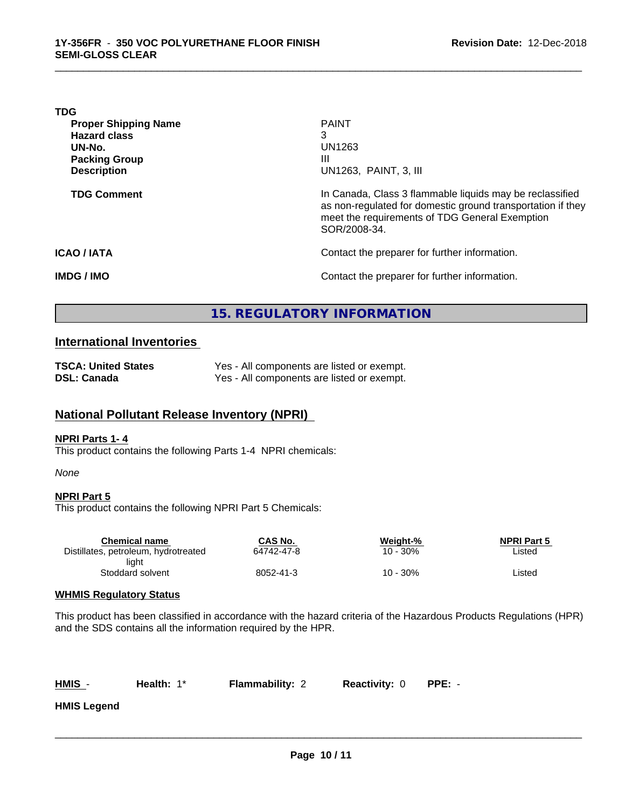| <b>PAINT</b>                                                                                                                                                                              |
|-------------------------------------------------------------------------------------------------------------------------------------------------------------------------------------------|
| 3                                                                                                                                                                                         |
| UN1263                                                                                                                                                                                    |
| Ш                                                                                                                                                                                         |
| UN1263, PAINT, 3, III                                                                                                                                                                     |
| In Canada, Class 3 flammable liquids may be reclassified<br>as non-regulated for domestic ground transportation if they<br>meet the requirements of TDG General Exemption<br>SOR/2008-34. |
| Contact the preparer for further information.                                                                                                                                             |
| Contact the preparer for further information.                                                                                                                                             |
|                                                                                                                                                                                           |

\_\_\_\_\_\_\_\_\_\_\_\_\_\_\_\_\_\_\_\_\_\_\_\_\_\_\_\_\_\_\_\_\_\_\_\_\_\_\_\_\_\_\_\_\_\_\_\_\_\_\_\_\_\_\_\_\_\_\_\_\_\_\_\_\_\_\_\_\_\_\_\_\_\_\_\_\_\_\_\_\_\_\_\_\_\_\_\_\_\_\_\_\_

## **15. REGULATORY INFORMATION**

## **International Inventories**

| <b>TSCA: United States</b> | Yes - All components are listed or exempt. |
|----------------------------|--------------------------------------------|
| DSL: Canada                | Yes - All components are listed or exempt. |

## **National Pollutant Release Inventory (NPRI)**

#### **NPRI Parts 1- 4**

This product contains the following Parts 1-4 NPRI chemicals:

#### *None*

#### **NPRI Part 5**

This product contains the following NPRI Part 5 Chemicals:

| <b>Chemical name</b>                 | CAS No.    | Weight-% | <b>NPRI Part 5</b> |  |
|--------------------------------------|------------|----------|--------------------|--|
| Distillates, petroleum, hydrotreated | 64742-47-8 | 10 - 30% | ∟isted             |  |
| liaht                                |            |          |                    |  |
| Stoddard solvent                     | 8052-41-3  | 10 - 30% | ∟isted             |  |
|                                      |            |          |                    |  |

### **WHMIS Regulatory Status**

This product has been classified in accordance with the hazard criteria of the Hazardous Products Regulations (HPR) and the SDS contains all the information required by the HPR.

**Health:** 1\* **Flammability: 2 Reactivity: 0 PPE:** -

 $\overline{\phantom{a}}$  ,  $\overline{\phantom{a}}$  ,  $\overline{\phantom{a}}$  ,  $\overline{\phantom{a}}$  ,  $\overline{\phantom{a}}$  ,  $\overline{\phantom{a}}$  ,  $\overline{\phantom{a}}$  ,  $\overline{\phantom{a}}$  ,  $\overline{\phantom{a}}$  ,  $\overline{\phantom{a}}$  ,  $\overline{\phantom{a}}$  ,  $\overline{\phantom{a}}$  ,  $\overline{\phantom{a}}$  ,  $\overline{\phantom{a}}$  ,  $\overline{\phantom{a}}$  ,  $\overline{\phantom{a}}$ 

**HMIS Legend**